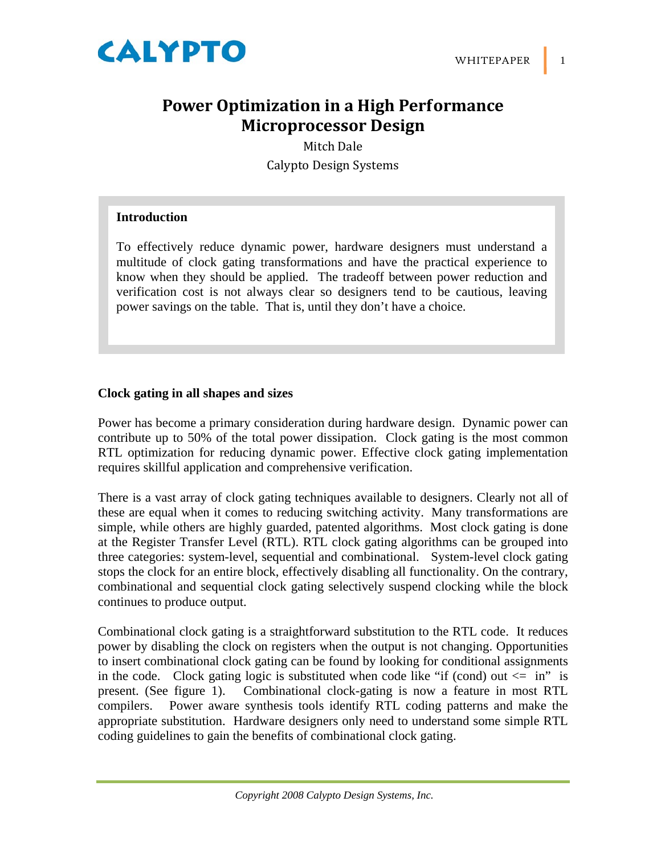

# **Power Optimization in a High Performance Microprocessor Design**

Mitch Dale Calypto Design Systems

### **Introduction**

To effectively reduce dynamic power, hardware designers must understand a multitude of clock gating transformations and have the practical experience to know when they should be applied. The tradeoff between power reduction and verification cost is not always clear so designers tend to be cautious, leaving power savings on the table. That is, until they don't have a choice.

#### **Clock gating in all shapes and sizes**

Power has become a primary consideration during hardware design. Dynamic power can contribute up to 50% of the total power dissipation. Clock gating is the most common RTL optimization for reducing dynamic power. Effective clock gating implementation requires skillful application and comprehensive verification.

There is a vast array of clock gating techniques available to designers. Clearly not all of these are equal when it comes to reducing switching activity. Many transformations are simple, while others are highly guarded, patented algorithms. Most clock gating is done at the Register Transfer Level (RTL). RTL clock gating algorithms can be grouped into three categories: system-level, sequential and combinational. System-level clock gating stops the clock for an entire block, effectively disabling all functionality. On the contrary, combinational and sequential clock gating selectively suspend clocking while the block continues to produce output.

Combinational clock gating is a straightforward substitution to the RTL code. It reduces power by disabling the clock on registers when the output is not changing. Opportunities to insert combinational clock gating can be found by looking for conditional assignments in the code. Clock gating logic is substituted when code like "if (cond) out  $\leq$  in" is present. (See figure 1). Combinational clock-gating is now a feature in most RTL compilers. Power aware synthesis tools identify RTL coding patterns and make the appropriate substitution. Hardware designers only need to understand some simple RTL coding guidelines to gain the benefits of combinational clock gating.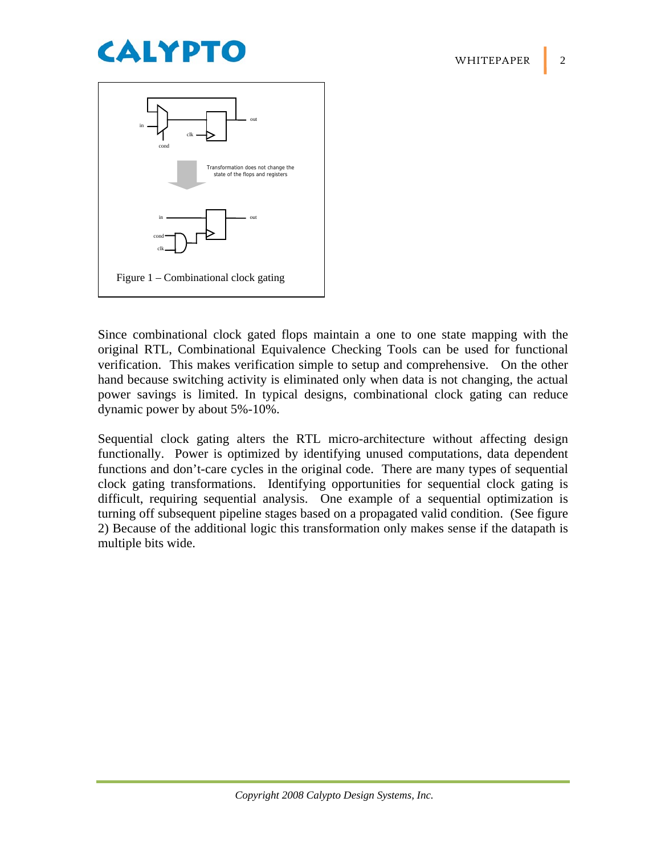



Since combinational clock gated flops maintain a one to one state mapping with the original RTL, Combinational Equivalence Checking Tools can be used for functional verification. This makes verification simple to setup and comprehensive. On the other hand because switching activity is eliminated only when data is not changing, the actual power savings is limited. In typical designs, combinational clock gating can reduce dynamic power by about 5%-10%.

Sequential clock gating alters the RTL micro-architecture without affecting design functionally. Power is optimized by identifying unused computations, data dependent functions and don't-care cycles in the original code. There are many types of sequential clock gating transformations. Identifying opportunities for sequential clock gating is difficult, requiring sequential analysis. One example of a sequential optimization is turning off subsequent pipeline stages based on a propagated valid condition. (See figure 2) Because of the additional logic this transformation only makes sense if the datapath is multiple bits wide.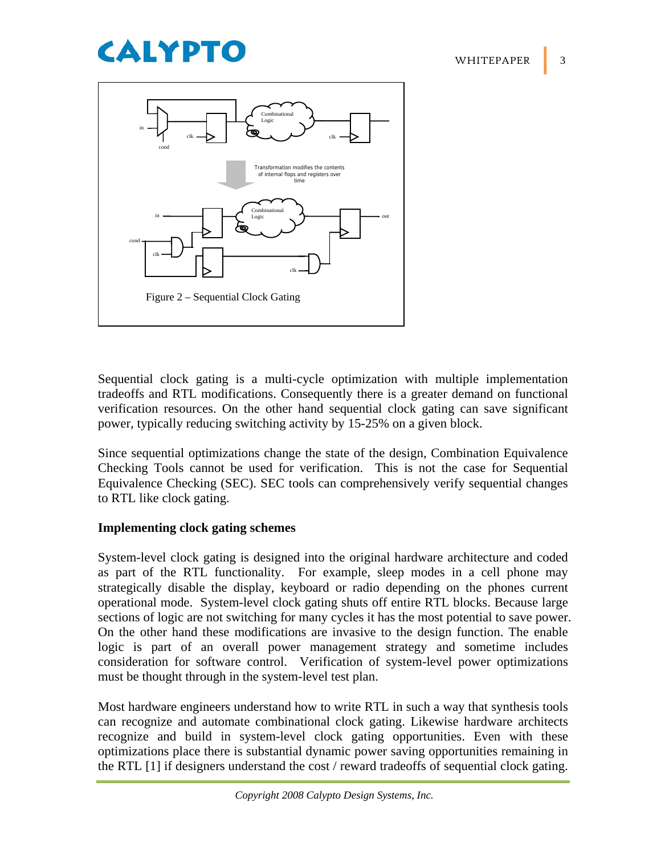# **CALYPTO**



Sequential clock gating is a multi-cycle optimization with multiple implementation tradeoffs and RTL modifications. Consequently there is a greater demand on functional verification resources. On the other hand sequential clock gating can save significant power, typically reducing switching activity by 15-25% on a given block.

Since sequential optimizations change the state of the design, Combination Equivalence Checking Tools cannot be used for verification. This is not the case for Sequential Equivalence Checking (SEC). SEC tools can comprehensively verify sequential changes to RTL like clock gating.

### **Implementing clock gating schemes**

System-level clock gating is designed into the original hardware architecture and coded as part of the RTL functionality. For example, sleep modes in a cell phone may strategically disable the display, keyboard or radio depending on the phones current operational mode. System-level clock gating shuts off entire RTL blocks. Because large sections of logic are not switching for many cycles it has the most potential to save power. On the other hand these modifications are invasive to the design function. The enable logic is part of an overall power management strategy and sometime includes consideration for software control. Verification of system-level power optimizations must be thought through in the system-level test plan.

Most hardware engineers understand how to write RTL in such a way that synthesis tools can recognize and automate combinational clock gating. Likewise hardware architects recognize and build in system-level clock gating opportunities. Even with these optimizations place there is substantial dynamic power saving opportunities remaining in the RTL [1] if designers understand the cost / reward tradeoffs of sequential clock gating.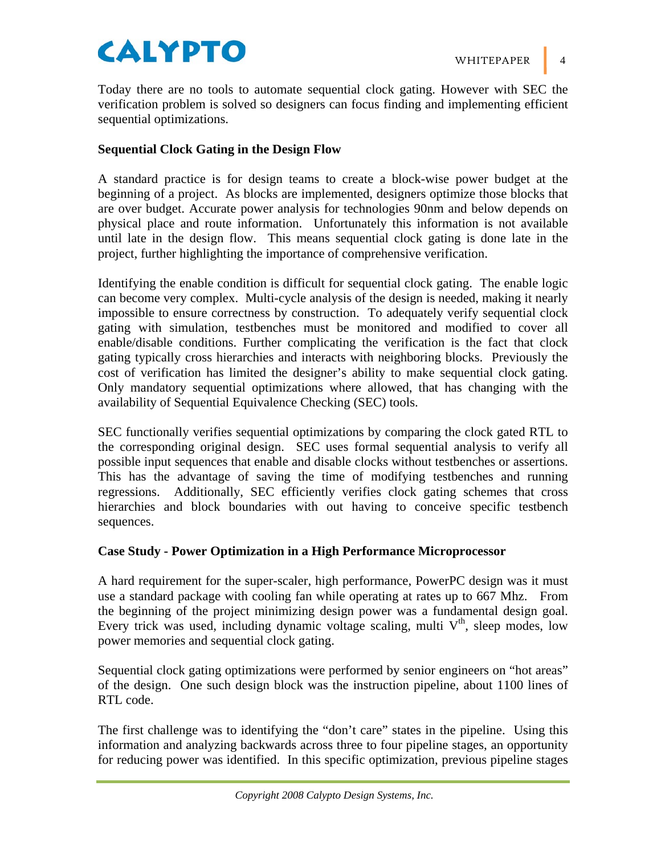# CALYPTO WHITEPAPER

Today there are no tools to automate sequential clock gating. However with SEC the verification problem is solved so designers can focus finding and implementing efficient sequential optimizations.

## **Sequential Clock Gating in the Design Flow**

A standard practice is for design teams to create a block-wise power budget at the beginning of a project. As blocks are implemented, designers optimize those blocks that are over budget. Accurate power analysis for technologies 90nm and below depends on physical place and route information. Unfortunately this information is not available until late in the design flow. This means sequential clock gating is done late in the project, further highlighting the importance of comprehensive verification.

Identifying the enable condition is difficult for sequential clock gating. The enable logic can become very complex. Multi-cycle analysis of the design is needed, making it nearly impossible to ensure correctness by construction. To adequately verify sequential clock gating with simulation, testbenches must be monitored and modified to cover all enable/disable conditions. Further complicating the verification is the fact that clock gating typically cross hierarchies and interacts with neighboring blocks. Previously the cost of verification has limited the designer's ability to make sequential clock gating. Only mandatory sequential optimizations where allowed, that has changing with the availability of Sequential Equivalence Checking (SEC) tools.

SEC functionally verifies sequential optimizations by comparing the clock gated RTL to the corresponding original design. SEC uses formal sequential analysis to verify all possible input sequences that enable and disable clocks without testbenches or assertions. This has the advantage of saving the time of modifying testbenches and running regressions. Additionally, SEC efficiently verifies clock gating schemes that cross hierarchies and block boundaries with out having to conceive specific testbench sequences.

### **Case Study - Power Optimization in a High Performance Microprocessor**

A hard requirement for the super-scaler, high performance, PowerPC design was it must use a standard package with cooling fan while operating at rates up to 667 Mhz. From the beginning of the project minimizing design power was a fundamental design goal. Every trick was used, including dynamic voltage scaling, multi  $V<sup>th</sup>$ , sleep modes, low power memories and sequential clock gating.

Sequential clock gating optimizations were performed by senior engineers on "hot areas" of the design. One such design block was the instruction pipeline, about 1100 lines of RTL code.

The first challenge was to identifying the "don't care" states in the pipeline. Using this information and analyzing backwards across three to four pipeline stages, an opportunity for reducing power was identified. In this specific optimization, previous pipeline stages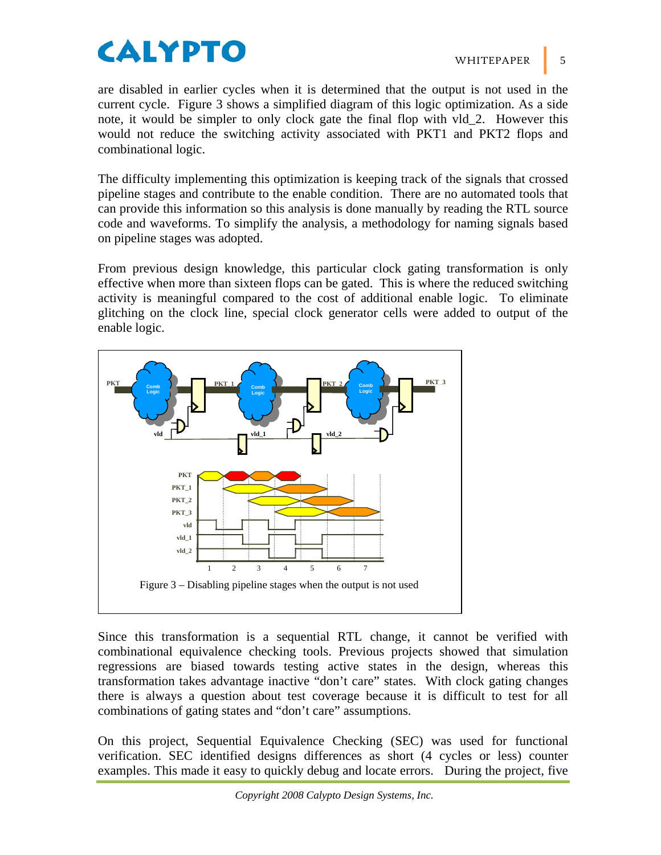# **CALYPTO**

are disabled in earlier cycles when it is determined that the output is not used in the current cycle. Figure 3 shows a simplified diagram of this logic optimization. As a side note, it would be simpler to only clock gate the final flop with vld\_2. However this would not reduce the switching activity associated with PKT1 and PKT2 flops and combinational logic.

The difficulty implementing this optimization is keeping track of the signals that crossed pipeline stages and contribute to the enable condition. There are no automated tools that can provide this information so this analysis is done manually by reading the RTL source code and waveforms. To simplify the analysis, a methodology for naming signals based on pipeline stages was adopted.

From previous design knowledge, this particular clock gating transformation is only effective when more than sixteen flops can be gated. This is where the reduced switching activity is meaningful compared to the cost of additional enable logic. To eliminate glitching on the clock line, special clock generator cells were added to output of the enable logic.



Since this transformation is a sequential RTL change, it cannot be verified with combinational equivalence checking tools. Previous projects showed that simulation regressions are biased towards testing active states in the design, whereas this transformation takes advantage inactive "don't care" states. With clock gating changes there is always a question about test coverage because it is difficult to test for all combinations of gating states and "don't care" assumptions.

On this project, Sequential Equivalence Checking (SEC) was used for functional verification. SEC identified designs differences as short (4 cycles or less) counter examples. This made it easy to quickly debug and locate errors. During the project, five